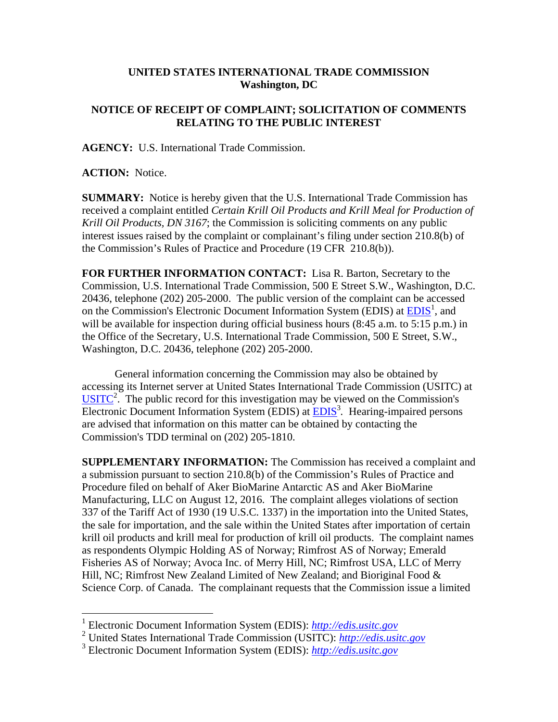## **UNITED STATES INTERNATIONAL TRADE COMMISSION Washington, DC**

## **NOTICE OF RECEIPT OF COMPLAINT; SOLICITATION OF COMMENTS RELATING TO THE PUBLIC INTEREST**

**AGENCY:** U.S. International Trade Commission.

**ACTION:** Notice.

 $\overline{a}$ 

**SUMMARY:** Notice is hereby given that the U.S. International Trade Commission has received a complaint entitled *Certain Krill Oil Products and Krill Meal for Production of Krill Oil Products, DN 3167*; the Commission is soliciting comments on any public interest issues raised by the complaint or complainant's filing under section 210.8(b) of the Commission's Rules of Practice and Procedure (19 CFR 210.8(b)).

**FOR FURTHER INFORMATION CONTACT:** Lisa R. Barton, Secretary to the Commission, U.S. International Trade Commission, 500 E Street S.W., Washington, D.C. 20436, telephone (202) 205-2000. The public version of the complaint can be accessed on the Commission's Electronic Document Information System (EDIS) at  $\overline{EDIS}^1$ , and will be available for inspection during official business hours (8:45 a.m. to 5:15 p.m.) in the Office of the Secretary, U.S. International Trade Commission, 500 E Street, S.W., Washington, D.C. 20436, telephone (202) 205-2000.

General information concerning the Commission may also be obtained by accessing its Internet server at United States International Trade Commission (USITC) at  $\overline{\text{USITC}}^2$ . The public record for this investigation may be viewed on the Commission's Electronic Document Information System (EDIS) at **EDIS**<sup>3</sup>. Hearing-impaired persons are advised that information on this matter can be obtained by contacting the Commission's TDD terminal on (202) 205-1810.

**SUPPLEMENTARY INFORMATION:** The Commission has received a complaint and a submission pursuant to section 210.8(b) of the Commission's Rules of Practice and Procedure filed on behalf of Aker BioMarine Antarctic AS and Aker BioMarine Manufacturing, LLC on August 12, 2016. The complaint alleges violations of section 337 of the Tariff Act of 1930 (19 U.S.C. 1337) in the importation into the United States, the sale for importation, and the sale within the United States after importation of certain krill oil products and krill meal for production of krill oil products. The complaint names as respondents Olympic Holding AS of Norway; Rimfrost AS of Norway; Emerald Fisheries AS of Norway; Avoca Inc. of Merry Hill, NC; Rimfrost USA, LLC of Merry Hill, NC; Rimfrost New Zealand Limited of New Zealand; and Bioriginal Food & Science Corp. of Canada. The complainant requests that the Commission issue a limited

<sup>1</sup> Electronic Document Information System (EDIS): *http://edis.usitc.gov*

<sup>2</sup> United States International Trade Commission (USITC): *http://edis.usitc.gov*

<sup>3</sup> Electronic Document Information System (EDIS): *http://edis.usitc.gov*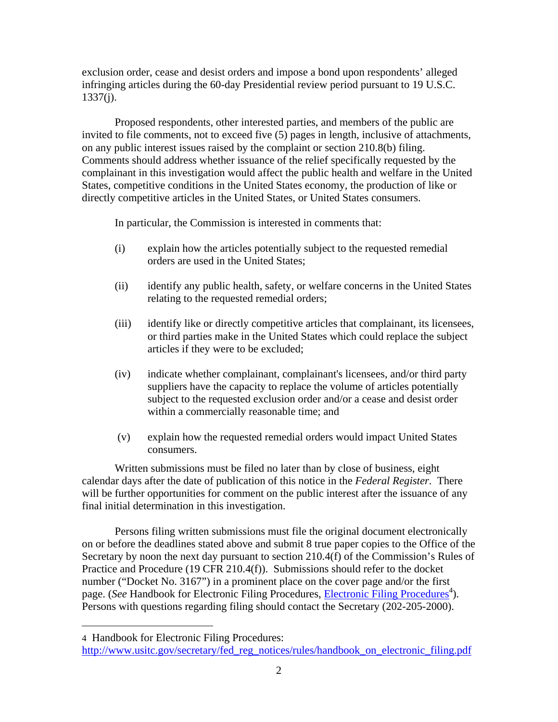exclusion order, cease and desist orders and impose a bond upon respondents' alleged infringing articles during the 60-day Presidential review period pursuant to 19 U.S.C.  $1337(i)$ .

Proposed respondents, other interested parties, and members of the public are invited to file comments, not to exceed five (5) pages in length, inclusive of attachments, on any public interest issues raised by the complaint or section 210.8(b) filing. Comments should address whether issuance of the relief specifically requested by the complainant in this investigation would affect the public health and welfare in the United States, competitive conditions in the United States economy, the production of like or directly competitive articles in the United States, or United States consumers.

In particular, the Commission is interested in comments that:

- (i) explain how the articles potentially subject to the requested remedial orders are used in the United States;
- (ii) identify any public health, safety, or welfare concerns in the United States relating to the requested remedial orders;
- (iii) identify like or directly competitive articles that complainant, its licensees, or third parties make in the United States which could replace the subject articles if they were to be excluded;
- (iv) indicate whether complainant, complainant's licensees, and/or third party suppliers have the capacity to replace the volume of articles potentially subject to the requested exclusion order and/or a cease and desist order within a commercially reasonable time; and
- (v) explain how the requested remedial orders would impact United States consumers.

Written submissions must be filed no later than by close of business, eight calendar days after the date of publication of this notice in the *Federal Register*. There will be further opportunities for comment on the public interest after the issuance of any final initial determination in this investigation.

Persons filing written submissions must file the original document electronically on or before the deadlines stated above and submit 8 true paper copies to the Office of the Secretary by noon the next day pursuant to section 210.4(f) of the Commission's Rules of Practice and Procedure (19 CFR 210.4(f)). Submissions should refer to the docket number ("Docket No. 3167") in a prominent place on the cover page and/or the first page. (*See* Handbook for Electronic Filing Procedures, *Electronic Filing Procedures*<sup>4</sup>). Persons with questions regarding filing should contact the Secretary (202-205-2000).

 $\overline{a}$ 

<sup>4</sup> Handbook for Electronic Filing Procedures:

http://www.usitc.gov/secretary/fed\_reg\_notices/rules/handbook\_on\_electronic\_filing.pdf